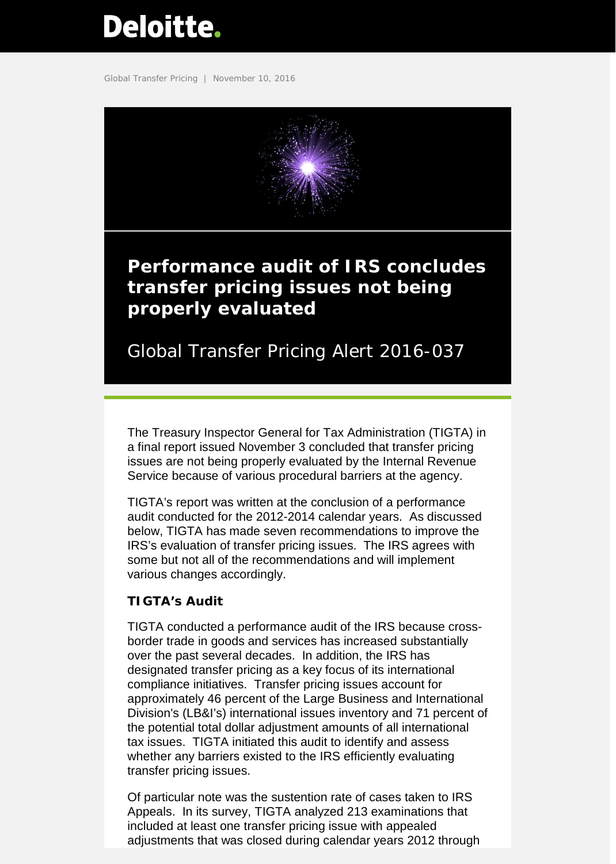# <span id="page-0-0"></span>**Deloitte.**

Global Transfer Pricing | November 10, 2016



## **Performance audit of IRS concludes transfer pricing issues not being properly evaluated**

Global Transfer Pricing Alert 2016-037

The Treasury Inspector General for Tax Administration (TIGTA) in a final report issued November 3 concluded that transfer pricing issues are not being properly evaluated by the Internal Revenue Service because of various procedural barriers at the agency.

TIGTA's report was written at the conclusion of a performance audit conducted for the 2012-2014 calendar years. As discussed below, TIGTA has made seven recommendations to improve the IRS's evaluation of transfer pricing issues. The IRS agrees with some but not all of the recommendations and will implement various changes accordingly.

### **TIGTA's Audit**

TIGTA conducted a performance audit of the IRS because crossborder trade in goods and services has increased substantially over the past several decades. In addition, the IRS has designated transfer pricing as a key focus of its international compliance initiatives. Transfer pricing issues account for approximately 46 percent of the Large Business and International Division's (LB&I's) international issues inventory and 71 percent of the potential total dollar adjustment amounts of all international tax issues. TIGTA initiated this audit to identify and assess whether any barriers existed to the IRS efficiently evaluating transfer pricing issues.

Of particular note was the sustention rate of cases taken to IRS Appeals. In its survey, TIGTA analyzed 213 examinations that included at least one transfer pricing issue with appealed adjustments that was closed during calendar years 2012 through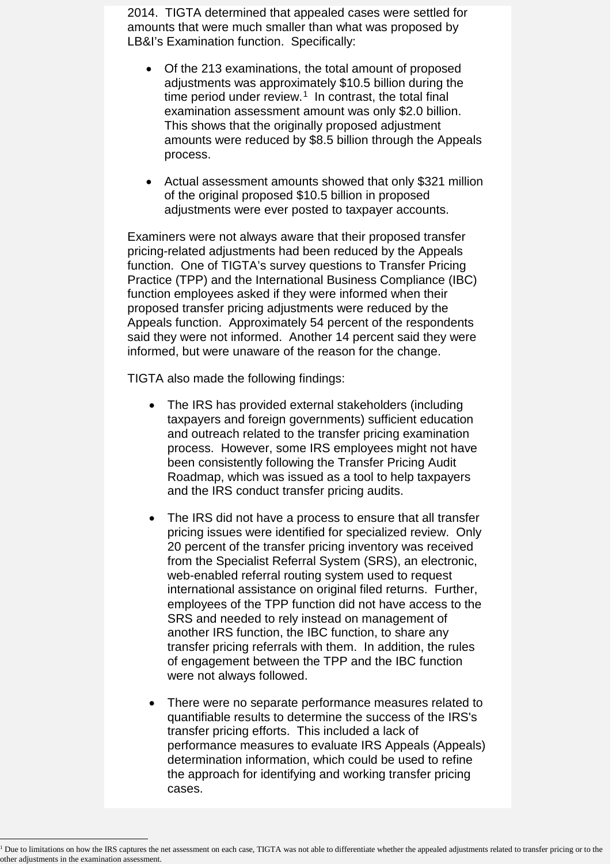2014. TIGTA determined that appealed cases were settled for amounts that were much smaller than what was proposed by LB&I's Examination function. Specifically:

- Of the 213 examinations, the total amount of proposed adjustments was approximately \$10.5 billion during the time period under review. $1$  In contrast, the total final examination assessment amount was only \$2.0 billion. This shows that the originally proposed adjustment amounts were reduced by \$8.5 billion through the Appeals process.
- Actual assessment amounts showed that only \$321 million of the original proposed \$10.5 billion in proposed adjustments were ever posted to taxpayer accounts.

Examiners were not always aware that their proposed transfer pricing-related adjustments had been reduced by the Appeals function. One of TIGTA's survey questions to Transfer Pricing Practice (TPP) and the International Business Compliance (IBC) function employees asked if they were informed when their proposed transfer pricing adjustments were reduced by the Appeals function. Approximately 54 percent of the respondents said they were not informed. Another 14 percent said they were informed, but were unaware of the reason for the change.

TIGTA also made the following findings:

- The IRS has provided external stakeholders (including taxpayers and foreign governments) sufficient education and outreach related to the transfer pricing examination process. However, some IRS employees might not have been consistently following the Transfer Pricing Audit Roadmap, which was issued as a tool to help taxpayers and the IRS conduct transfer pricing audits.
- The IRS did not have a process to ensure that all transfer pricing issues were identified for specialized review. Only 20 percent of the transfer pricing inventory was received from the Specialist Referral System (SRS), an electronic, web-enabled referral routing system used to request international assistance on original filed returns. Further, employees of the TPP function did not have access to the SRS and needed to rely instead on management of another IRS function, the IBC function, to share any transfer pricing referrals with them. In addition, the rules of engagement between the TPP and the IBC function were not always followed.
- There were no separate performance measures related to quantifiable results to determine the success of the IRS's transfer pricing efforts. This included a lack of performance measures to evaluate IRS Appeals (Appeals) determination information, which could be used to refine the approach for identifying and working transfer pricing cases.

<span id="page-1-0"></span> $\overline{a}$ <sup>1</sup> Due to limitations on how the IRS captures the net assessment on each case, TIGTA was not able to differentiate whether the appealed adjustments related to transfer pricing or to the other adjustments in the examination assessment.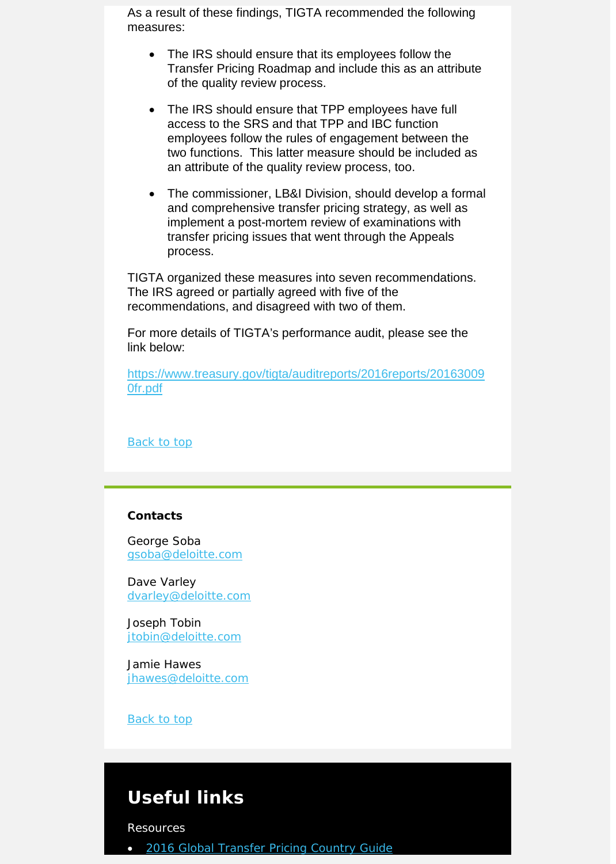As a result of these findings, TIGTA recommended the following measures:

- The IRS should ensure that its employees follow the Transfer Pricing Roadmap and include this as an attribute of the quality review process.
- The IRS should ensure that TPP employees have full access to the SRS and that TPP and IBC function employees follow the rules of engagement between the two functions. This latter measure should be included as an attribute of the quality review process, too.
- The commissioner, LB&I Division, should develop a formal and comprehensive transfer pricing strategy, as well as implement a post-mortem review of examinations with transfer pricing issues that went through the Appeals process.

TIGTA organized these measures into seven recommendations. The IRS agreed or partially agreed with five of the recommendations, and disagreed with two of them.

For more details of TIGTA's performance audit, please see the link below:

[https://www.treasury.gov/tigta/auditreports/2016reports/20163009](https://www.treasury.gov/tigta/auditreports/2016reports/201630090fr.pdf) [0fr.pdf](https://www.treasury.gov/tigta/auditreports/2016reports/201630090fr.pdf)

**Back to top** 

#### **Contacts**

George Soba [gsoba@deloitte.com](mailto:gsoba@deloitte.com) 

Dave Varley [dvarley@deloitte.com](mailto:dvarley@deloitte.com)

Joseph Tobin [jtobin@deloitte.com](mailto:jtobin@deloitte.com) 

Jamie Hawes [jhawes@deloitte.com](mailto:jhawes@deloitte.com)

Back to top

## **Useful links**

Resources

• [2016 Global Transfer Pricing Country Guide](https://www2.deloitte.com/us/en/pages/tax/articles/global-transfer-pricing-country-guide.html)